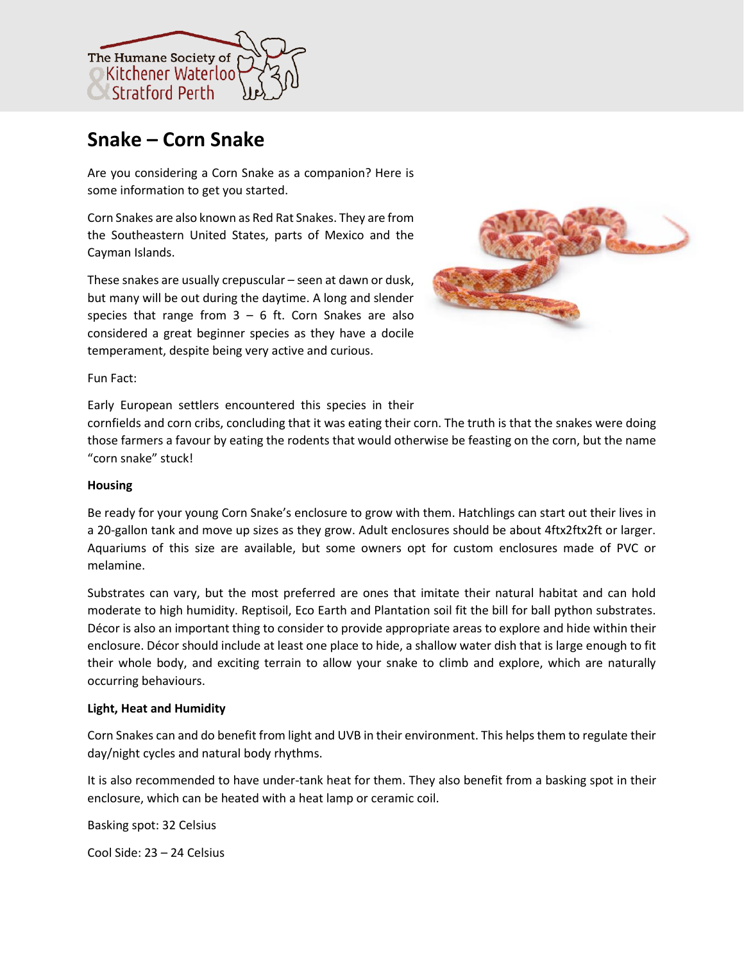

# **Snake – Corn Snake**

Are you considering a Corn Snake as a companion? Here is some information to get you started.

Corn Snakes are also known as Red Rat Snakes. They are from the Southeastern United States, parts of Mexico and the Cayman Islands.

These snakes are usually crepuscular – seen at dawn or dusk, but many will be out during the daytime. A long and slender species that range from  $3 - 6$  ft. Corn Snakes are also considered a great beginner species as they have a docile temperament, despite being very active and curious.



Fun Fact:

Early European settlers encountered this species in their

cornfields and corn cribs, concluding that it was eating their corn. The truth is that the snakes were doing those farmers a favour by eating the rodents that would otherwise be feasting on the corn, but the name "corn snake" stuck!

## **Housing**

Be ready for your young Corn Snake's enclosure to grow with them. Hatchlings can start out their lives in a 20-gallon tank and move up sizes as they grow. Adult enclosures should be about 4ftx2ftx2ft or larger. Aquariums of this size are available, but some owners opt for custom enclosures made of PVC or melamine.

Substrates can vary, but the most preferred are ones that imitate their natural habitat and can hold moderate to high humidity. Reptisoil, Eco Earth and Plantation soil fit the bill for ball python substrates. Décor is also an important thing to consider to provide appropriate areas to explore and hide within their enclosure. Décor should include at least one place to hide, a shallow water dish that is large enough to fit their whole body, and exciting terrain to allow your snake to climb and explore, which are naturally occurring behaviours.

## **Light, Heat and Humidity**

Corn Snakes can and do benefit from light and UVB in their environment. This helps them to regulate their day/night cycles and natural body rhythms.

It is also recommended to have under-tank heat for them. They also benefit from a basking spot in their enclosure, which can be heated with a heat lamp or ceramic coil.

Basking spot: 32 Celsius

Cool Side: 23 – 24 Celsius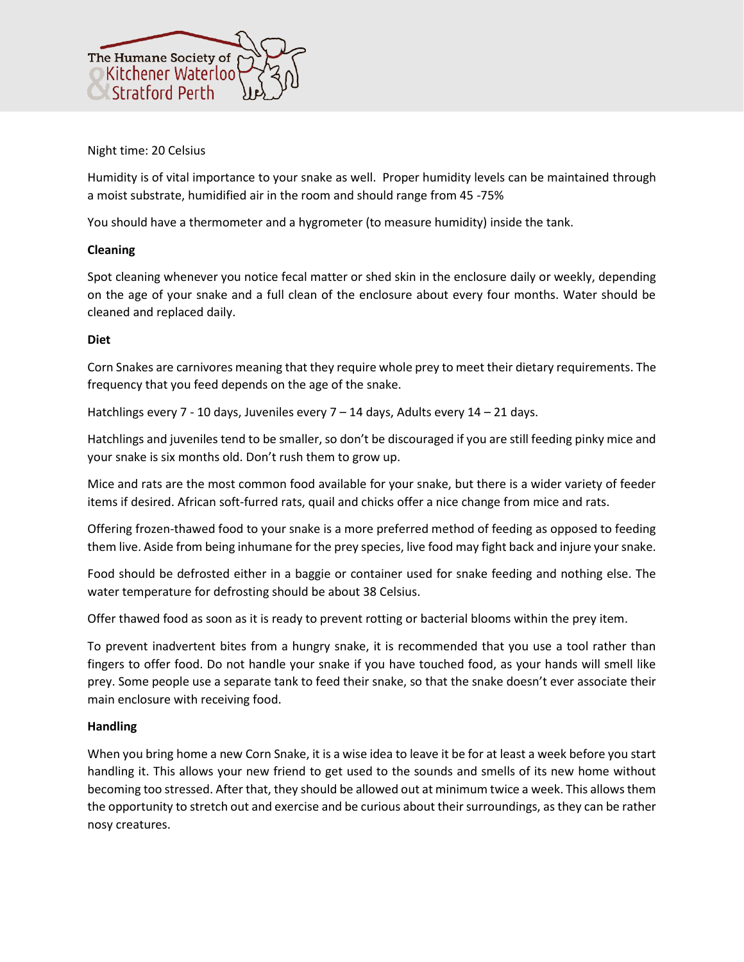

## Night time: 20 Celsius

Humidity is of vital importance to your snake as well. Proper humidity levels can be maintained through a moist substrate, humidified air in the room and should range from 45 -75%

You should have a thermometer and a hygrometer (to measure humidity) inside the tank.

# **Cleaning**

Spot cleaning whenever you notice fecal matter or shed skin in the enclosure daily or weekly, depending on the age of your snake and a full clean of the enclosure about every four months. Water should be cleaned and replaced daily.

# **Diet**

Corn Snakes are carnivores meaning that they require whole prey to meet their dietary requirements. The frequency that you feed depends on the age of the snake.

Hatchlings every 7 - 10 days, Juveniles every  $7 - 14$  days, Adults every  $14 - 21$  days.

Hatchlings and juveniles tend to be smaller, so don't be discouraged if you are still feeding pinky mice and your snake is six months old. Don't rush them to grow up.

Mice and rats are the most common food available for your snake, but there is a wider variety of feeder items if desired. African soft-furred rats, quail and chicks offer a nice change from mice and rats.

Offering frozen-thawed food to your snake is a more preferred method of feeding as opposed to feeding them live. Aside from being inhumane for the prey species, live food may fight back and injure your snake.

Food should be defrosted either in a baggie or container used for snake feeding and nothing else. The water temperature for defrosting should be about 38 Celsius.

Offer thawed food as soon as it is ready to prevent rotting or bacterial blooms within the prey item.

To prevent inadvertent bites from a hungry snake, it is recommended that you use a tool rather than fingers to offer food. Do not handle your snake if you have touched food, as your hands will smell like prey. Some people use a separate tank to feed their snake, so that the snake doesn't ever associate their main enclosure with receiving food.

## **Handling**

When you bring home a new Corn Snake, it is a wise idea to leave it be for at least a week before you start handling it. This allows your new friend to get used to the sounds and smells of its new home without becoming too stressed. After that, they should be allowed out at minimum twice a week. This allows them the opportunity to stretch out and exercise and be curious about their surroundings, as they can be rather nosy creatures.